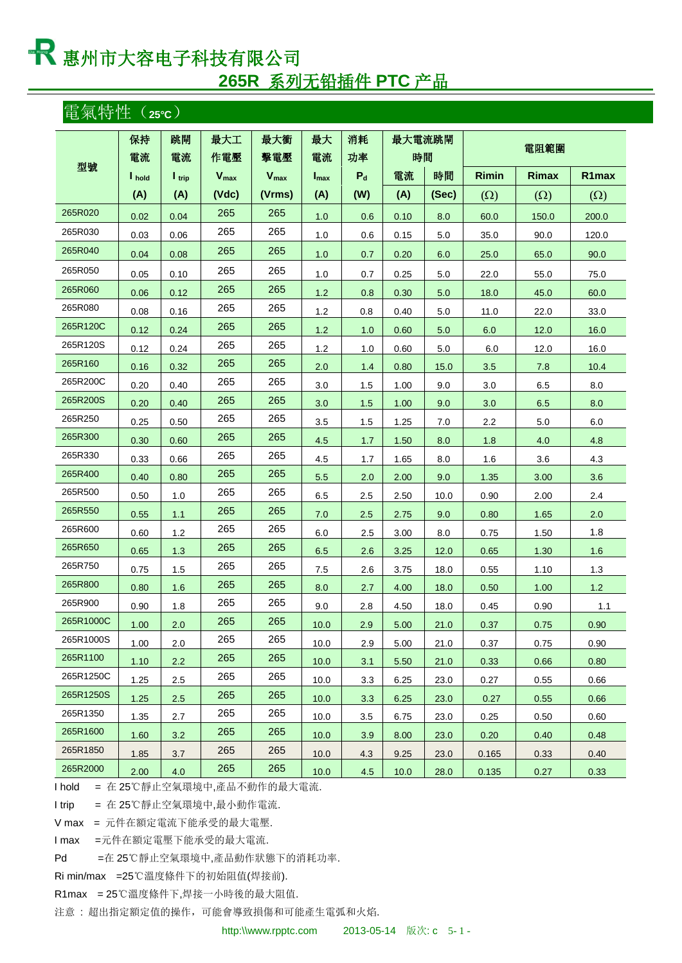**265R** 系列无铅插件 **PTC** 产品

### 電氣特性(**25°C**)

|           | 保持     | 跳閘                | 最大工       | 最大衝       | 最大               | 消耗    | 最大電流跳閘 |       |              |              |            |
|-----------|--------|-------------------|-----------|-----------|------------------|-------|--------|-------|--------------|--------------|------------|
|           | 電流     | 電流                | 作電壓       | 擊電壓       | 電流               | 功率    | 時間     |       |              | 電阻範圍         |            |
| 型號        | I hold | $I_{\text{trip}}$ | $V_{max}$ | $V_{max}$ | $I_{\text{max}}$ | $P_d$ | 電流     | 時間    | <b>Rimin</b> | <b>Rimax</b> | R1max      |
|           | (A)    | (A)               | (Vdc)     | (Vrms)    | (A)              | (W)   | (A)    | (Sec) | $(\Omega)$   | $(\Omega)$   | $(\Omega)$ |
| 265R020   | 0.02   | 0.04              | 265       | 265       | 1.0              | 0.6   | 0.10   | 8.0   | 60.0         | 150.0        | 200.0      |
| 265R030   | 0.03   | 0.06              | 265       | 265       | 1.0              | 0.6   | 0.15   | 5.0   | 35.0         | 90.0         | 120.0      |
| 265R040   | 0.04   | 0.08              | 265       | 265       | 1.0              | 0.7   | 0.20   | 6.0   | 25.0         | 65.0         | 90.0       |
| 265R050   | 0.05   | 0.10              | 265       | 265       | 1.0              | 0.7   | 0.25   | 5.0   | 22.0         | 55.0         | 75.0       |
| 265R060   | 0.06   | 0.12              | 265       | 265       | 1.2              | 0.8   | 0.30   | 5.0   | 18.0         | 45.0         | 60.0       |
| 265R080   | 0.08   | 0.16              | 265       | 265       | 1.2              | 0.8   | 0.40   | 5.0   | 11.0         | 22.0         | 33.0       |
| 265R120C  | 0.12   | 0.24              | 265       | 265       | 1.2              | 1.0   | 0.60   | 5.0   | 6.0          | 12.0         | 16.0       |
| 265R120S  | 0.12   | 0.24              | 265       | 265       | 1.2              | 1.0   | 0.60   | 5.0   | 6.0          | 12.0         | 16.0       |
| 265R160   | 0.16   | 0.32              | 265       | 265       | 2.0              | 1.4   | 0.80   | 15.0  | 3.5          | 7.8          | 10.4       |
| 265R200C  | 0.20   | 0.40              | 265       | 265       | 3.0              | 1.5   | 1.00   | 9.0   | 3.0          | 6.5          | 8.0        |
| 265R200S  | 0.20   | 0.40              | 265       | 265       | 3.0              | 1.5   | 1.00   | 9.0   | 3.0          | 6.5          | 8.0        |
| 265R250   | 0.25   | 0.50              | 265       | 265       | 3.5              | 1.5   | 1.25   | 7.0   | 2.2          | 5.0          | 6.0        |
| 265R300   | 0.30   | 0.60              | 265       | 265       | 4.5              | 1.7   | 1.50   | 8.0   | 1.8          | 4.0          | 4.8        |
| 265R330   | 0.33   | 0.66              | 265       | 265       | 4.5              | 1.7   | 1.65   | 8.0   | 1.6          | 3.6          | 4.3        |
| 265R400   | 0.40   | 0.80              | 265       | 265       | 5.5              | 2.0   | 2.00   | 9.0   | 1.35         | 3.00         | 3.6        |
| 265R500   | 0.50   | 1.0               | 265       | 265       | 6.5              | 2.5   | 2.50   | 10.0  | 0.90         | 2.00         | 2.4        |
| 265R550   | 0.55   | 1.1               | 265       | 265       | 7.0              | 2.5   | 2.75   | 9.0   | 0.80         | 1.65         | 2.0        |
| 265R600   | 0.60   | 1.2               | 265       | 265       | 6.0              | 2.5   | 3.00   | 8.0   | 0.75         | 1.50         | 1.8        |
| 265R650   | 0.65   | 1.3               | 265       | 265       | 6.5              | 2.6   | 3.25   | 12.0  | 0.65         | 1.30         | 1.6        |
| 265R750   | 0.75   | 1.5               | 265       | 265       | 7.5              | 2.6   | 3.75   | 18.0  | 0.55         | 1.10         | 1.3        |
| 265R800   | 0.80   | 1.6               | 265       | 265       | 8.0              | 2.7   | 4.00   | 18.0  | 0.50         | 1.00         | 1.2        |
| 265R900   | 0.90   | 1.8               | 265       | 265       | 9.0              | 2.8   | 4.50   | 18.0  | 0.45         | 0.90         | 1.1        |
| 265R1000C | 1.00   | 2.0               | 265       | 265       | 10.0             | 2.9   | 5.00   | 21.0  | 0.37         | 0.75         | 0.90       |
| 265R1000S | 1.00   | 2.0               | 265       | 265       | 10.0             | 2.9   | 5.00   | 21.0  | 0.37         | 0.75         | 0.90       |
| 265R1100  | 1.10   | 2.2               | 265       | 265       | 10.0             | 3.1   | 5.50   | 21.0  | 0.33         | 0.66         | 0.80       |
| 265R1250C | 1.25   | 2.5               | 265       | 265       | 10.0             | 3.3   | 6.25   | 23.0  | 0.27         | 0.55         | 0.66       |
| 265R1250S | 1.25   | 2.5               | 265       | 265       | 10.0             | 3.3   | 6.25   | 23.0  | 0.27         | 0.55         | 0.66       |
| 265R1350  | 1.35   | 2.7               | 265       | 265       | 10.0             | 3.5   | 6.75   | 23.0  | 0.25         | 0.50         | 0.60       |
| 265R1600  | 1.60   | 3.2               | 265       | 265       | 10.0             | 3.9   | 8.00   | 23.0  | 0.20         | 0.40         | 0.48       |
| 265R1850  | 1.85   | 3.7               | 265       | 265       | 10.0             | 4.3   | 9.25   | 23.0  | 0.165        | 0.33         | $0.40\,$   |
| 265R2000  | 2.00   | 4.0               | 265       | 265       | 10.0             | 4.5   | 10.0   | 28.0  | 0.135        | 0.27         | 0.33       |

I hold = 在 25℃靜止空氣環境中,產品不動作的最大電流.

I trip = 在 25℃靜止空氣環境中,最小動作電流.

V max = 元件在額定電流下能承受的最大電壓.

I max =元件在額定電壓下能承受的最大電流.

Pd =在 25℃靜止空氣環境中,產品動作狀態下的消耗功率.

Ri min/max =25℃溫度條件下的初始阻值(焊接前).

R1max = 25℃溫度條件下,焊接一小時後的最大阻值.

注意 : 超出指定額定值的操作,可能會導致損傷和可能產生電弧和火焰.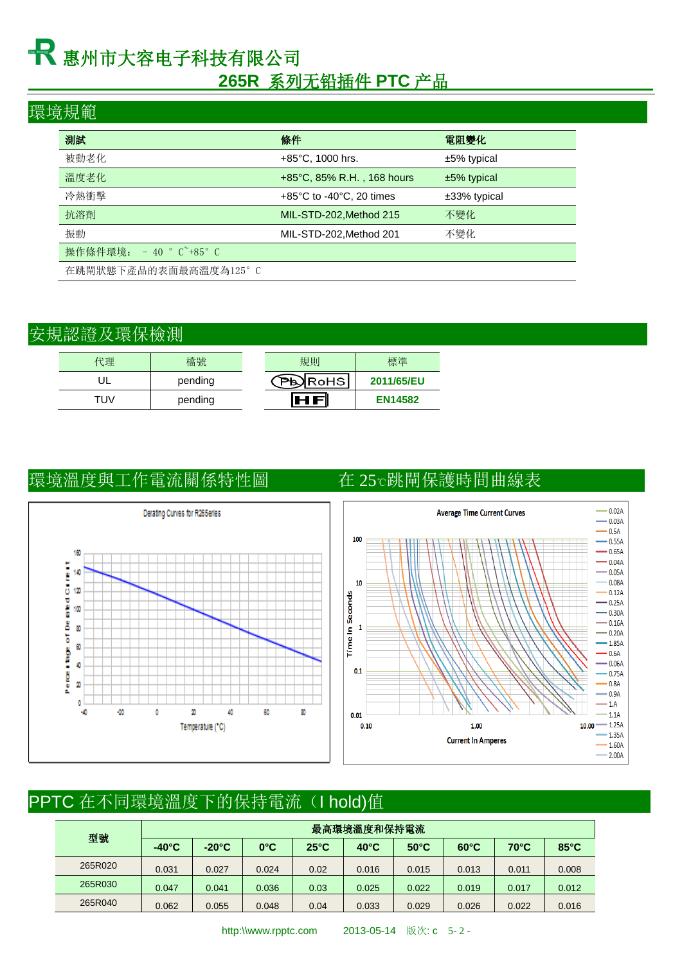### **265R** 系列无铅插件 **PTC** 产品

### 環境規範

| 測試                       | 條件                                            | 電阻變化            |
|--------------------------|-----------------------------------------------|-----------------|
| 被動老化                     | $+85^{\circ}$ C, 1000 hrs.                    | $±5\%$ typical  |
| 溫度老化                     | +85°C, 85% R.H., 168 hours                    | $±5\%$ typical  |
| 冷熱衝擊                     | $+85^{\circ}$ C to -40 $^{\circ}$ C, 20 times | $±33\%$ typical |
| 抗溶劑                      | MIL-STD-202, Method 215                       | 不變化             |
| 振動                       | MIL-STD-202, Method 201                       | 不變化             |
| 操作條件環境: - 40 ° C +85 ° C |                                               |                 |
| 在跳閘狀態下產品的表面最高溫度為125°C    |                                               |                 |

### 安規認證及環保檢測

| 代理  | 檔號      | 規則      | 標準             |
|-----|---------|---------|----------------|
|     | pending | NRoHSI. | 2011/65/EU     |
| TUV | pending |         | <b>EN14582</b> |

### 環境溫度與工作電流關係特性圖 在 25℃跳閘保護時間曲線表





# PPTC 在不同環境溫度下的保持電流(I hold)值

| 型號      | 最高環境溫度和保持電流     |                 |               |                |                |                |                |                |                |  |  |
|---------|-----------------|-----------------|---------------|----------------|----------------|----------------|----------------|----------------|----------------|--|--|
|         | $-40^{\circ}$ C | $-20^{\circ}$ C | $0^{\circ}$ C | $25^{\circ}$ C | $40^{\circ}$ C | $50^{\circ}$ C | $60^{\circ}$ C | $70^{\circ}$ C | $85^{\circ}$ C |  |  |
| 265R020 | 0.031           | 0.027           | 0.024         | 0.02           | 0.016          | 0.015          | 0.013          | 0.011          | 0.008          |  |  |
| 265R030 | 0.047           | 0.041           | 0.036         | 0.03           | 0.025          | 0.022          | 0.019          | 0.017          | 0.012          |  |  |
| 265R040 | 0.062           | 0.055           | 0.048         | 0.04           | 0.033          | 0.029          | 0.026          | 0.022          | 0.016          |  |  |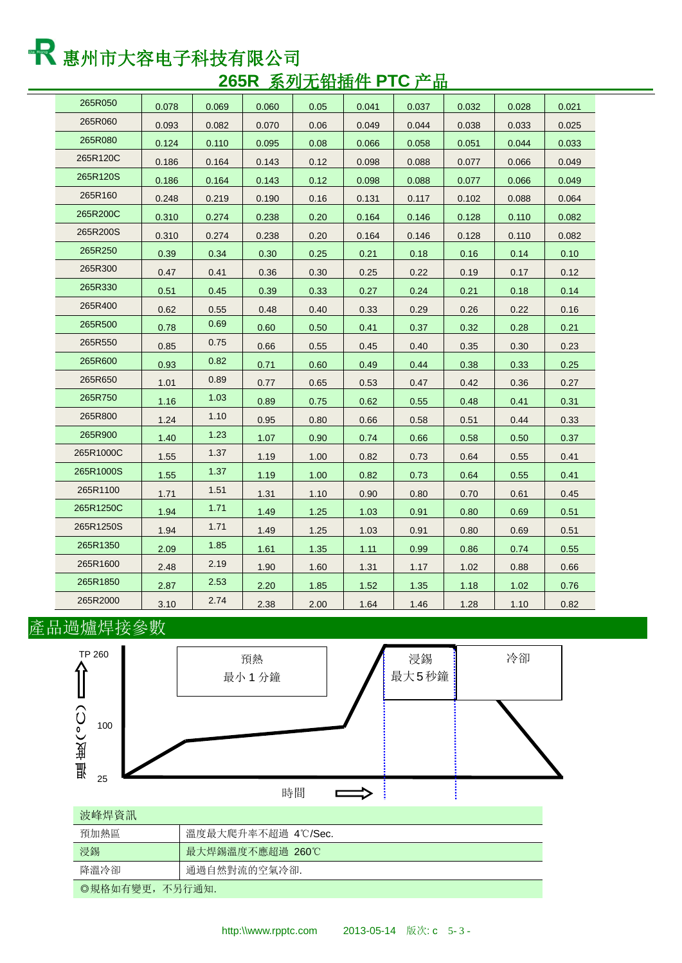and the control of the control of

| 265R050   | 0.078 | 0.069 | 0.060 | 0.05 | 0.041 | 0.037 | 0.032 | 0.028 | 0.021 |
|-----------|-------|-------|-------|------|-------|-------|-------|-------|-------|
| 265R060   | 0.093 | 0.082 | 0.070 | 0.06 | 0.049 | 0.044 | 0.038 | 0.033 | 0.025 |
| 265R080   | 0.124 | 0.110 | 0.095 | 0.08 | 0.066 | 0.058 | 0.051 | 0.044 | 0.033 |
| 265R120C  | 0.186 | 0.164 | 0.143 | 0.12 | 0.098 | 0.088 | 0.077 | 0.066 | 0.049 |
| 265R120S  | 0.186 | 0.164 | 0.143 | 0.12 | 0.098 | 0.088 | 0.077 | 0.066 | 0.049 |
| 265R160   | 0.248 | 0.219 | 0.190 | 0.16 | 0.131 | 0.117 | 0.102 | 0.088 | 0.064 |
| 265R200C  | 0.310 | 0.274 | 0.238 | 0.20 | 0.164 | 0.146 | 0.128 | 0.110 | 0.082 |
| 265R200S  | 0.310 | 0.274 | 0.238 | 0.20 | 0.164 | 0.146 | 0.128 | 0.110 | 0.082 |
| 265R250   | 0.39  | 0.34  | 0.30  | 0.25 | 0.21  | 0.18  | 0.16  | 0.14  | 0.10  |
| 265R300   | 0.47  | 0.41  | 0.36  | 0.30 | 0.25  | 0.22  | 0.19  | 0.17  | 0.12  |
| 265R330   | 0.51  | 0.45  | 0.39  | 0.33 | 0.27  | 0.24  | 0.21  | 0.18  | 0.14  |
| 265R400   | 0.62  | 0.55  | 0.48  | 0.40 | 0.33  | 0.29  | 0.26  | 0.22  | 0.16  |
| 265R500   | 0.78  | 0.69  | 0.60  | 0.50 | 0.41  | 0.37  | 0.32  | 0.28  | 0.21  |
| 265R550   | 0.85  | 0.75  | 0.66  | 0.55 | 0.45  | 0.40  | 0.35  | 0.30  | 0.23  |
| 265R600   | 0.93  | 0.82  | 0.71  | 0.60 | 0.49  | 0.44  | 0.38  | 0.33  | 0.25  |
| 265R650   | 1.01  | 0.89  | 0.77  | 0.65 | 0.53  | 0.47  | 0.42  | 0.36  | 0.27  |
| 265R750   | 1.16  | 1.03  | 0.89  | 0.75 | 0.62  | 0.55  | 0.48  | 0.41  | 0.31  |
| 265R800   | 1.24  | 1.10  | 0.95  | 0.80 | 0.66  | 0.58  | 0.51  | 0.44  | 0.33  |
| 265R900   | 1.40  | 1.23  | 1.07  | 0.90 | 0.74  | 0.66  | 0.58  | 0.50  | 0.37  |
| 265R1000C | 1.55  | 1.37  | 1.19  | 1.00 | 0.82  | 0.73  | 0.64  | 0.55  | 0.41  |
| 265R1000S | 1.55  | 1.37  | 1.19  | 1.00 | 0.82  | 0.73  | 0.64  | 0.55  | 0.41  |
| 265R1100  | 1.71  | 1.51  | 1.31  | 1.10 | 0.90  | 0.80  | 0.70  | 0.61  | 0.45  |
| 265R1250C | 1.94  | 1.71  | 1.49  | 1.25 | 1.03  | 0.91  | 0.80  | 0.69  | 0.51  |
| 265R1250S | 1.94  | 1.71  | 1.49  | 1.25 | 1.03  | 0.91  | 0.80  | 0.69  | 0.51  |
| 265R1350  | 2.09  | 1.85  | 1.61  | 1.35 | 1.11  | 0.99  | 0.86  | 0.74  | 0.55  |
| 265R1600  | 2.48  | 2.19  | 1.90  | 1.60 | 1.31  | 1.17  | 1.02  | 0.88  | 0.66  |
| 265R1850  | 2.87  | 2.53  | 2.20  | 1.85 | 1.52  | 1.35  | 1.18  | 1.02  | 0.76  |
| 265R2000  | 3.10  | 2.74  | 2.38  | 2.00 | 1.64  | 1.46  | 1.28  | 1.10  | 0.82  |

### 產品過爐焊接參數

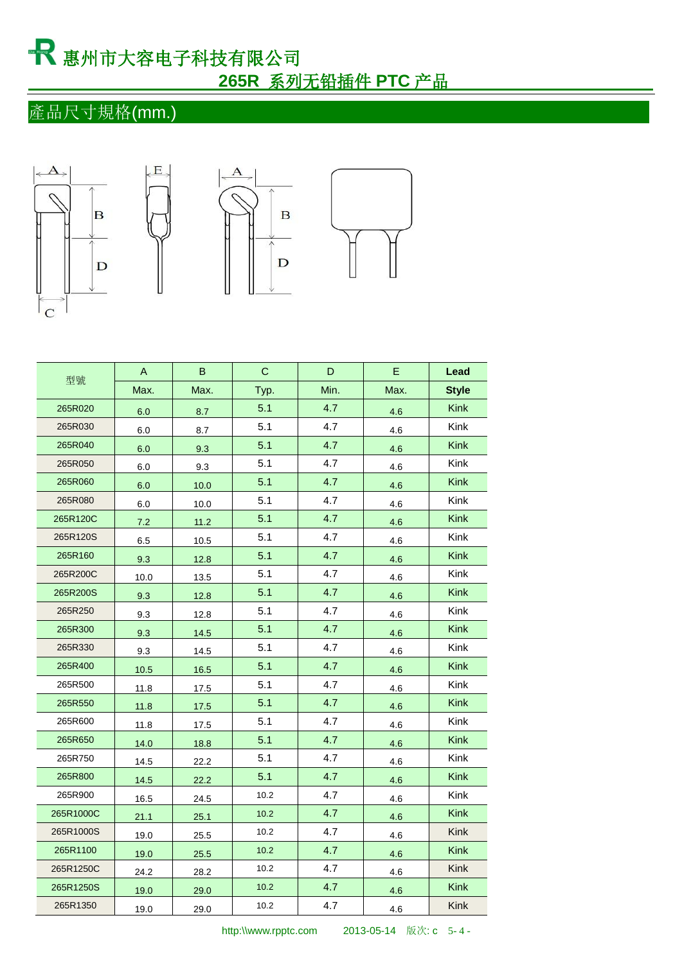# 惠州市大容电子科技有限公司  **265R** 系列无铅插件 **PTC** 产品

## 產品尺寸規格(mm.)









|           | A    | B    | C    | D    | Е    | Lead         |
|-----------|------|------|------|------|------|--------------|
| 型號        | Max. | Max. | Typ. | Min. | Max. | <b>Style</b> |
| 265R020   | 6.0  | 8.7  | 5.1  | 4.7  | 4.6  | <b>Kink</b>  |
| 265R030   | 6.0  | 8.7  | 5.1  | 4.7  | 4.6  | Kink         |
| 265R040   | 6.0  | 9.3  | 5.1  | 4.7  | 4.6  | <b>Kink</b>  |
| 265R050   | 6.0  | 9.3  | 5.1  | 4.7  | 4.6  | Kink         |
| 265R060   | 6.0  | 10.0 | 5.1  | 4.7  | 4.6  | <b>Kink</b>  |
| 265R080   | 6.0  | 10.0 | 5.1  | 4.7  | 4.6  | Kink         |
| 265R120C  | 7.2  | 11.2 | 5.1  | 4.7  | 4.6  | <b>Kink</b>  |
| 265R120S  | 6.5  | 10.5 | 5.1  | 4.7  | 4.6  | Kink         |
| 265R160   | 9.3  | 12.8 | 5.1  | 4.7  | 4.6  | <b>Kink</b>  |
| 265R200C  | 10.0 | 13.5 | 5.1  | 4.7  | 4.6  | Kink         |
| 265R200S  | 9.3  | 12.8 | 5.1  | 4.7  | 4.6  | <b>Kink</b>  |
| 265R250   | 9.3  | 12.8 | 5.1  | 4.7  | 4.6  | Kink         |
| 265R300   | 9.3  | 14.5 | 5.1  | 4.7  | 4.6  | <b>Kink</b>  |
| 265R330   | 9.3  | 14.5 | 5.1  | 4.7  | 4.6  | Kink         |
| 265R400   | 10.5 | 16.5 | 5.1  | 4.7  | 4.6  | <b>Kink</b>  |
| 265R500   | 11.8 | 17.5 | 5.1  | 4.7  | 4.6  | Kink         |
| 265R550   | 11.8 | 17.5 | 5.1  | 4.7  | 4.6  | <b>Kink</b>  |
| 265R600   | 11.8 | 17.5 | 5.1  | 4.7  | 4.6  | Kink         |
| 265R650   | 14.0 | 18.8 | 5.1  | 4.7  | 4.6  | <b>Kink</b>  |
| 265R750   | 14.5 | 22.2 | 5.1  | 4.7  | 4.6  | Kink         |
| 265R800   | 14.5 | 22.2 | 5.1  | 4.7  | 4.6  | <b>Kink</b>  |
| 265R900   | 16.5 | 24.5 | 10.2 | 4.7  | 4.6  | Kink         |
| 265R1000C | 21.1 | 25.1 | 10.2 | 4.7  | 4.6  | <b>Kink</b>  |
| 265R1000S | 19.0 | 25.5 | 10.2 | 4.7  | 4.6  | Kink         |
| 265R1100  | 19.0 | 25.5 | 10.2 | 4.7  | 4.6  | <b>Kink</b>  |
| 265R1250C | 24.2 | 28.2 | 10.2 | 4.7  | 4.6  | Kink         |
| 265R1250S | 19.0 | 29.0 | 10.2 | 4.7  | 4.6  | <b>Kink</b>  |
| 265R1350  | 19.0 | 29.0 | 10.2 | 4.7  | 4.6  | Kink         |

http:\\www.rpptc.com 2013-05-14 版次: c 5-4-